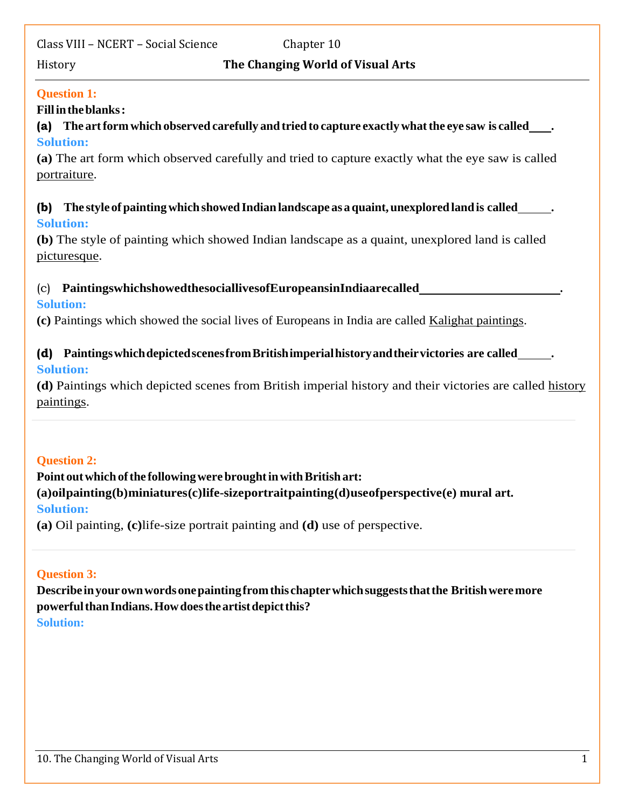# History **The Changing World of Visual Arts**

#### **Question 1: Fillintheblanks:**

# **(a) The artform which observed carefully and tried to capture exactly whatthe eye saw is called .**

**Solution:** 

**(a)** The art form which observed carefully and tried to capture exactly what the eye saw is called portraiture.

## **(b) The style ofpaintingwhichshowedIndianlandscape as aquaint,unexploredlandis called . Solution:**

**(b)** The style of painting which showed Indian landscape as a quaint, unexplored land is called picturesque.

# (c) **PaintingswhichshowedthesociallivesofEuropeansinIndiaarecalled .**

# **Solution:**

**(c)** Paintings which showed the social lives of Europeans in India are called Kalighat paintings.

# **(d) PaintingswhichdepictedscenesfromBritishimperialhistoryandtheirvictories are called . Solution:**

**(d)** Paintings which depicted scenes from British imperial history and their victories are called history paintings.

# **Question 2:**

# Point out which of the following were brought in with British art:

**(a)oilpainting(b)miniatures(c)life-sizeportraitpainting(d)useofperspective(e) mural art. Solution:** 

**(a)** Oil painting, **(c)**life-size portrait painting and **(d)** use of perspective.

# **Question 3:**

**Describe inyourownwordsonepaintingfromthis chapterwhichsuggeststhatthe Britishweremore powerfulthanIndians.Howdoestheartistdepictthis? Solution:**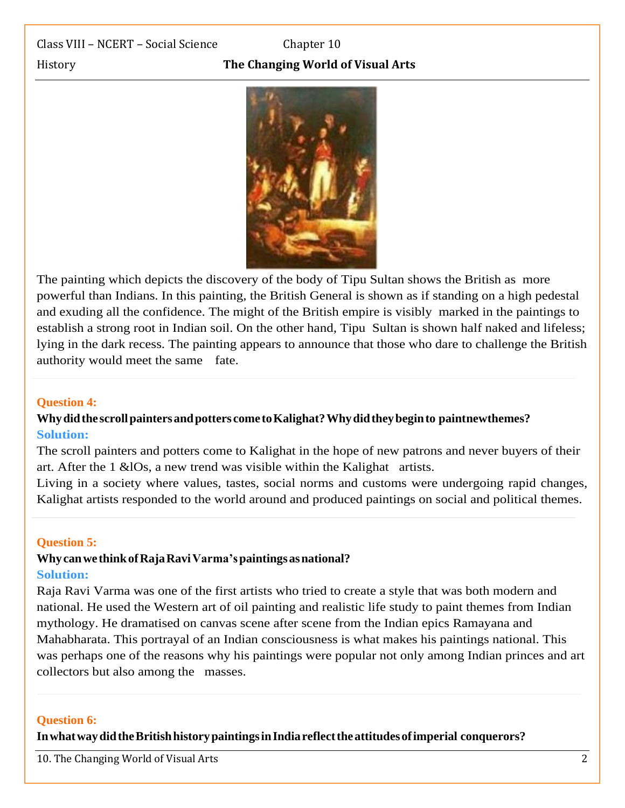# Class VIII – NCERT – Social Science Chapter 10

History **The Changing World of Visual Arts**



The painting which depicts the discovery of the body of Tipu Sultan shows the British as more powerful than Indians. In this painting, the British General is shown as if standing on a high pedestal and exuding all the confidence. The might of the British empire is visibly marked in the paintings to establish a strong root in Indian soil. On the other hand, Tipu Sultan is shown half naked and lifeless; lying in the dark recess. The painting appears to announce that those who dare to challenge the British authority would meet the same fate.

#### **Question 4:**

### **Whydidthe scrollpaintersandpotters come toKalighat?Whydidtheybeginto paintnewthemes? Solution:**

The scroll painters and potters come to Kalighat in the hope of new patrons and never buyers of their art. After the 1 &lOs, a new trend was visible within the Kalighat artists.

Living in a society where values, tastes, social norms and customs were undergoing rapid changes, Kalighat artists responded to the world around and produced paintings on social and political themes.

#### **Question 5:**

# **Whycanwe thinkofRajaRaviVarma'spaintingsasnational?**

### **Solution:**

Raja Ravi Varma was one of the first artists who tried to create a style that was both modern and national. He used the Western art of oil painting and realistic life study to paint themes from Indian mythology. He dramatised on canvas scene after scene from the Indian epics Ramayana and Mahabharata. This portrayal of an Indian consciousness is what makes his paintings national. This was perhaps one of the reasons why his paintings were popular not only among Indian princes and art collectors but also among the masses.

#### **Question 6:**

**InwhatwaydidtheBritishhistorypaintingsinIndiareflecttheattitudesofimperial conquerors?**

10. The Changing World of Visual Arts2